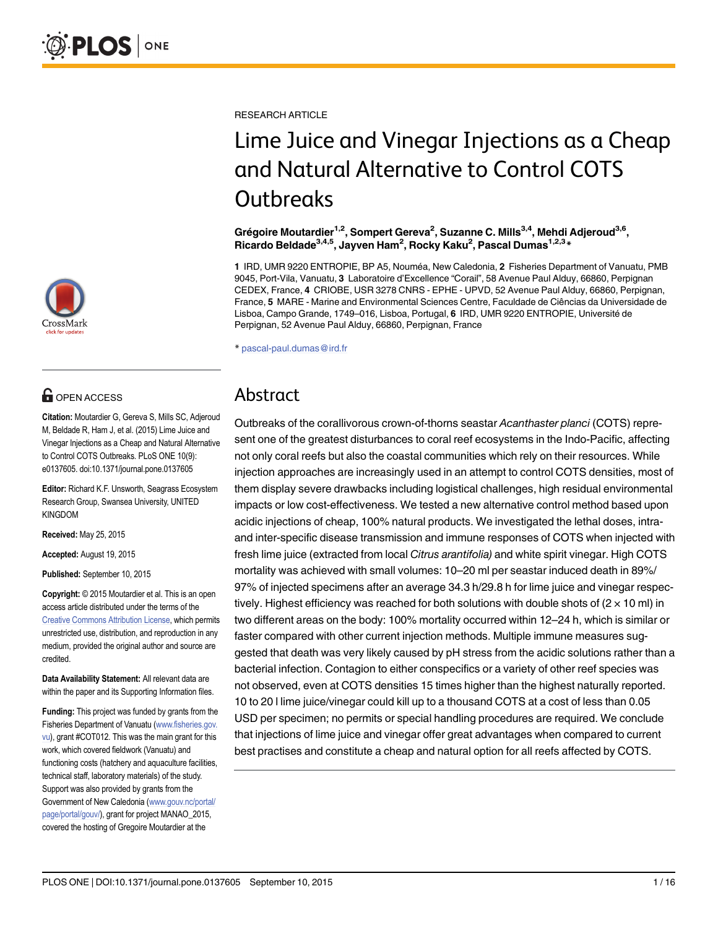

# **OPEN ACCESS**

Citation: Moutardier G, Gereva S, Mills SC, Adjeroud M, Beldade R, Ham J, et al. (2015) Lime Juice and Vinegar Injections as a Cheap and Natural Alternative to Control COTS Outbreaks. PLoS ONE 10(9): e0137605. doi:10.1371/journal.pone.0137605

Editor: Richard K.F. Unsworth, Seagrass Ecosystem Research Group, Swansea University, UNITED KINGDOM

Received: May 25, 2015

Accepted: August 19, 2015

Published: September 10, 2015

Copyright: © 2015 Moutardier et al. This is an open access article distributed under the terms of the [Creative Commons Attribution License,](http://creativecommons.org/licenses/by/4.0/) which permits unrestricted use, distribution, and reproduction in any medium, provided the original author and source are credited.

Data Availability Statement: All relevant data are within the paper and its Supporting Information files.

Funding: This project was funded by grants from the Fisheries Department of Vanuatu [\(www.fisheries.gov.](http://www.fisheries.gov.vu) [vu\)](http://www.fisheries.gov.vu), grant #COT012. This was the main grant for this work, which covered fieldwork (Vanuatu) and functioning costs (hatchery and aquaculture facilities, technical staff, laboratory materials) of the study. Support was also provided by grants from the Government of New Caledonia [\(www.gouv.nc/portal/](http://www.gouv.nc/portal/page/portal/gouv/) [page/portal/gouv/](http://www.gouv.nc/portal/page/portal/gouv/)), grant for project MANAO\_2015, covered the hosting of Gregoire Moutardier at the

RESEARCH ARTICLE

# Lime Juice and Vinegar Injections as a Cheap and Natural Alternative to Control COTS **Outbreaks**

Grégoire Moutardier<sup>1,2</sup>, Sompert Gereva<sup>2</sup>, Suzanne C. Mills<sup>3,4</sup>, Mehdi Adjeroud<sup>3,6</sup>, Ricardo Beldade<sup>3,4,5</sup>, Jayven Ham<sup>2</sup>, Rocky Kaku<sup>2</sup>, Pascal Dumas<sup>1,2,3</sup>\*

1 IRD, UMR 9220 ENTROPIE, BP A5, Nouméa, New Caledonia, 2 Fisheries Department of Vanuatu, PMB 9045, Port-Vila, Vanuatu, 3 Laboratoire d'Excellence "Corail", 58 Avenue Paul Alduy, 66860, Perpignan CEDEX, France, 4 CRIOBE, USR 3278 CNRS - EPHE - UPVD, 52 Avenue Paul Alduy, 66860, Perpignan, France, 5 MARE - Marine and Environmental Sciences Centre, Faculdade de Ciências da Universidade de Lisboa, Campo Grande, 1749–016, Lisboa, Portugal, 6 IRD, UMR 9220 ENTROPIE, Université de Perpignan, 52 Avenue Paul Alduy, 66860, Perpignan, France

\* pascal-paul.dumas@ird.fr

## Abstract

Outbreaks of the corallivorous crown-of-thorns seastar Acanthaster planci (COTS) represent one of the greatest disturbances to coral reef ecosystems in the Indo-Pacific, affecting not only coral reefs but also the coastal communities which rely on their resources. While injection approaches are increasingly used in an attempt to control COTS densities, most of them display severe drawbacks including logistical challenges, high residual environmental impacts or low cost-effectiveness. We tested a new alternative control method based upon acidic injections of cheap, 100% natural products. We investigated the lethal doses, intraand inter-specific disease transmission and immune responses of COTS when injected with fresh lime juice (extracted from local Citrus arantifolia) and white spirit vinegar. High COTS mortality was achieved with small volumes: 10–20 ml per seastar induced death in 89%/ 97% of injected specimens after an average 34.3 h/29.8 h for lime juice and vinegar respectively. Highest efficiency was reached for both solutions with double shots of  $(2 \times 10 \text{ ml})$  in two different areas on the body: 100% mortality occurred within 12–24 h, which is similar or faster compared with other current injection methods. Multiple immune measures suggested that death was very likely caused by pH stress from the acidic solutions rather than a bacterial infection. Contagion to either conspecifics or a variety of other reef species was not observed, even at COTS densities 15 times higher than the highest naturally reported. 10 to 20 l lime juice/vinegar could kill up to a thousand COTS at a cost of less than 0.05 USD per specimen; no permits or special handling procedures are required. We conclude that injections of lime juice and vinegar offer great advantages when compared to current best practises and constitute a cheap and natural option for all reefs affected by COTS.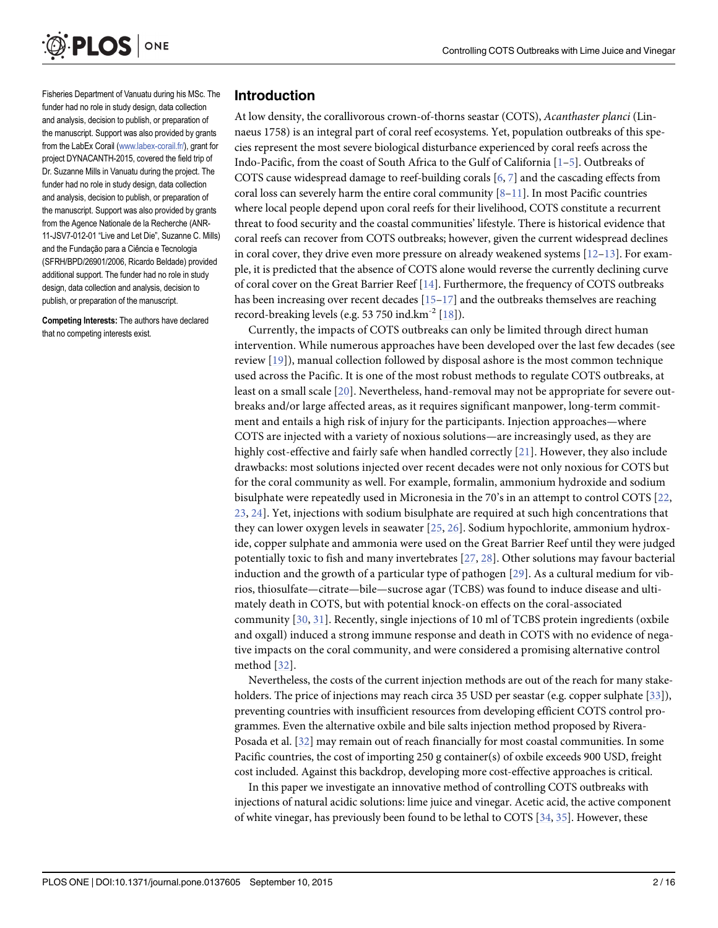<span id="page-1-0"></span>

Fisheries Department of Vanuatu during his MSc. The funder had no role in study design, data collection and analysis, decision to publish, or preparation of the manuscript. Support was also provided by grants from the LabEx Corail ([www.labex-corail.fr/\)](http://www.labex-corail.fr/), grant for project DYNACANTH-2015, covered the field trip of Dr. Suzanne Mills in Vanuatu during the project. The funder had no role in study design, data collection and analysis, decision to publish, or preparation of the manuscript. Support was also provided by grants from the Agence Nationale de la Recherche (ANR-11-JSV7-012-01 "Live and Let Die", Suzanne C. Mills) and the Fundação para a Ciência e Tecnologia (SFRH/BPD/26901/2006, Ricardo Beldade) provided additional support. The funder had no role in study design, data collection and analysis, decision to publish, or preparation of the manuscript.

Competing Interests: The authors have declared that no competing interests exist.

#### Introduction

At low density, the corallivorous crown-of-thorns seastar (COTS), Acanthaster planci (Linnaeus 1758) is an integral part of coral reef ecosystems. Yet, population outbreaks of this species represent the most severe biological disturbance experienced by coral reefs across the Indo-Pacific, from the coast of South Africa to the Gulf of California  $[1-5]$  $[1-5]$  $[1-5]$  $[1-5]$ . Outbreaks of COTS cause widespread damage to reef-building corals  $[6, 7]$  $[6, 7]$  $[6, 7]$  $[6, 7]$  and the cascading effects from coral loss can severely harm the entire coral community  $[8-11]$  $[8-11]$  $[8-11]$ . In most Pacific countries where local people depend upon coral reefs for their livelihood, COTS constitute a recurrent threat to food security and the coastal communities' lifestyle. There is historical evidence that coral reefs can recover from COTS outbreaks; however, given the current widespread declines in coral cover, they drive even more pressure on already weakened systems  $[12-13]$  $[12-13]$  $[12-13]$  $[12-13]$  $[12-13]$ . For example, it is predicted that the absence of COTS alone would reverse the currently declining curve of coral cover on the Great Barrier Reef [[14](#page-13-0)]. Furthermore, the frequency of COTS outbreaks has been increasing over recent decades [\[15](#page-13-0)–[17\]](#page-13-0) and the outbreaks themselves are reaching record-breaking levels (e.g. 53 750 ind.km<sup>-2</sup> [ $18$ ]).

Currently, the impacts of COTS outbreaks can only be limited through direct human intervention. While numerous approaches have been developed over the last few decades (see review [\[19](#page-13-0)]), manual collection followed by disposal ashore is the most common technique used across the Pacific. It is one of the most robust methods to regulate COTS outbreaks, at least on a small scale [\[20](#page-13-0)]. Nevertheless, hand-removal may not be appropriate for severe outbreaks and/or large affected areas, as it requires significant manpower, long-term commitment and entails a high risk of injury for the participants. Injection approaches—where COTS are injected with a variety of noxious solutions—are increasingly used, as they are highly cost-effective and fairly safe when handled correctly [[21](#page-13-0)]. However, they also include drawbacks: most solutions injected over recent decades were not only noxious for COTS but for the coral community as well. For example, formalin, ammonium hydroxide and sodium bisulphate were repeatedly used in Micronesia in the 70's in an attempt to control COTS [\[22](#page-13-0), [23,](#page-13-0) [24](#page-13-0)]. Yet, injections with sodium bisulphate are required at such high concentrations that they can lower oxygen levels in seawater [\[25](#page-13-0), [26](#page-13-0)]. Sodium hypochlorite, ammonium hydroxide, copper sulphate and ammonia were used on the Great Barrier Reef until they were judged potentially toxic to fish and many invertebrates [[27,](#page-13-0) [28](#page-13-0)]. Other solutions may favour bacterial induction and the growth of a particular type of pathogen  $[29]$  $[29]$  $[29]$ . As a cultural medium for vibrios, thiosulfate—citrate—bile—sucrose agar (TCBS) was found to induce disease and ultimately death in COTS, but with potential knock-on effects on the coral-associated community [[30,](#page-13-0) [31\]](#page-13-0). Recently, single injections of 10 ml of TCBS protein ingredients (oxbile and oxgall) induced a strong immune response and death in COTS with no evidence of negative impacts on the coral community, and were considered a promising alternative control method [\[32\]](#page-13-0).

Nevertheless, the costs of the current injection methods are out of the reach for many stake-holders. The price of injections may reach circa 35 USD per seastar (e.g. copper sulphate [\[33\]](#page-13-0)), preventing countries with insufficient resources from developing efficient COTS control programmes. Even the alternative oxbile and bile salts injection method proposed by Rivera-Posada et al. [[32](#page-13-0)] may remain out of reach financially for most coastal communities. In some Pacific countries, the cost of importing 250 g container(s) of oxbile exceeds 900 USD, freight cost included. Against this backdrop, developing more cost-effective approaches is critical.

In this paper we investigate an innovative method of controlling COTS outbreaks with injections of natural acidic solutions: lime juice and vinegar. Acetic acid, the active component of white vinegar, has previously been found to be lethal to COTS [\[34,](#page-13-0) [35\]](#page-13-0). However, these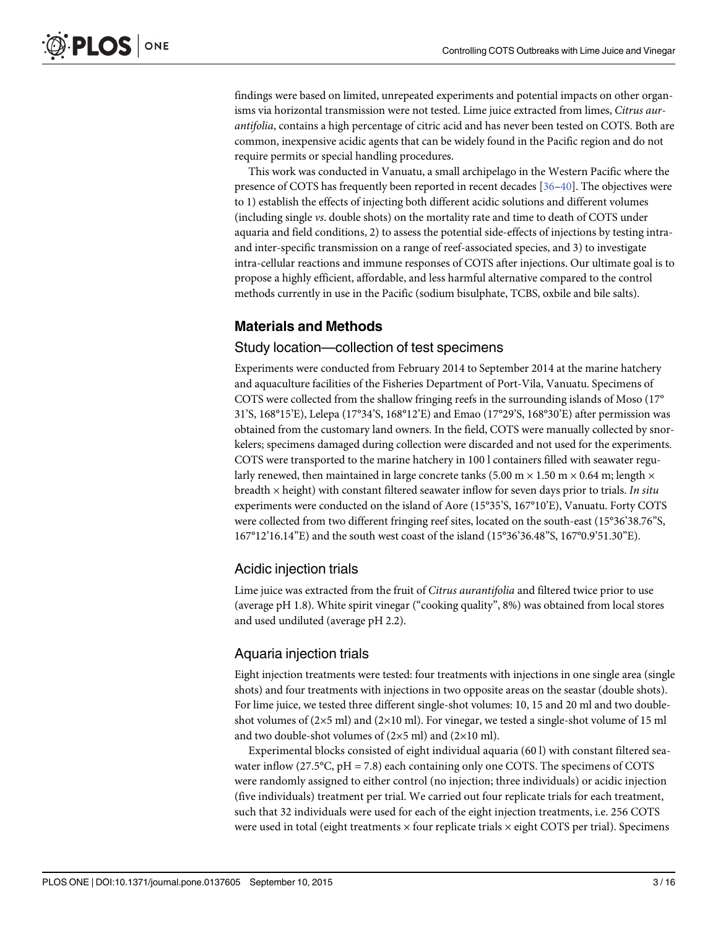<span id="page-2-0"></span>findings were based on limited, unrepeated experiments and potential impacts on other organisms via horizontal transmission were not tested. Lime juice extracted from limes, Citrus aurantifolia, contains a high percentage of citric acid and has never been tested on COTS. Both are common, inexpensive acidic agents that can be widely found in the Pacific region and do not require permits or special handling procedures.

This work was conducted in Vanuatu, a small archipelago in the Western Pacific where the presence of COTS has frequently been reported in recent decades [\[36](#page-13-0)–[40\]](#page-14-0). The objectives were to 1) establish the effects of injecting both different acidic solutions and different volumes (including single vs. double shots) on the mortality rate and time to death of COTS under aquaria and field conditions, 2) to assess the potential side-effects of injections by testing intraand inter-specific transmission on a range of reef-associated species, and 3) to investigate intra-cellular reactions and immune responses of COTS after injections. Our ultimate goal is to propose a highly efficient, affordable, and less harmful alternative compared to the control methods currently in use in the Pacific (sodium bisulphate, TCBS, oxbile and bile salts).

## Materials and Methods

#### Study location—collection of test specimens

Experiments were conducted from February 2014 to September 2014 at the marine hatchery and aquaculture facilities of the Fisheries Department of Port-Vila, Vanuatu. Specimens of COTS were collected from the shallow fringing reefs in the surrounding islands of Moso (17° 31'S, 168°15'E), Lelepa (17°34'S, 168°12'E) and Emao (17°29'S, 168°30'E) after permission was obtained from the customary land owners. In the field, COTS were manually collected by snorkelers; specimens damaged during collection were discarded and not used for the experiments. COTS were transported to the marine hatchery in 100 l containers filled with seawater regularly renewed, then maintained in large concrete tanks (5.00 m  $\times$  1.50 m  $\times$  0.64 m; length  $\times$ breadth  $\times$  height) with constant filtered seawater inflow for seven days prior to trials. In situ experiments were conducted on the island of Aore (15°35'S, 167°10'E), Vanuatu. Forty COTS were collected from two different fringing reef sites, located on the south-east (15°36'38.76"S, 167°12'16.14"E) and the south west coast of the island (15°36'36.48"S, 167°0.9'51.30"E).

#### Acidic injection trials

Lime juice was extracted from the fruit of *Citrus aurantifolia* and filtered twice prior to use (average pH 1.8). White spirit vinegar ("cooking quality", 8%) was obtained from local stores and used undiluted (average pH 2.2).

## Aquaria injection trials

Eight injection treatments were tested: four treatments with injections in one single area (single shots) and four treatments with injections in two opposite areas on the seastar (double shots). For lime juice, we tested three different single-shot volumes: 10, 15 and 20 ml and two doubleshot volumes of  $(2\times5 \text{ ml})$  and  $(2\times10 \text{ ml})$ . For vinegar, we tested a single-shot volume of 15 ml and two double-shot volumes of  $(2\times5 \text{ ml})$  and  $(2\times10 \text{ ml})$ .

Experimental blocks consisted of eight individual aquaria (60 l) with constant filtered seawater inflow  $(27.5^{\circ}C, pH = 7.8)$  each containing only one COTS. The specimens of COTS were randomly assigned to either control (no injection; three individuals) or acidic injection (five individuals) treatment per trial. We carried out four replicate trials for each treatment, such that 32 individuals were used for each of the eight injection treatments, i.e. 256 COTS were used in total (eight treatments  $\times$  four replicate trials  $\times$  eight COTS per trial). Specimens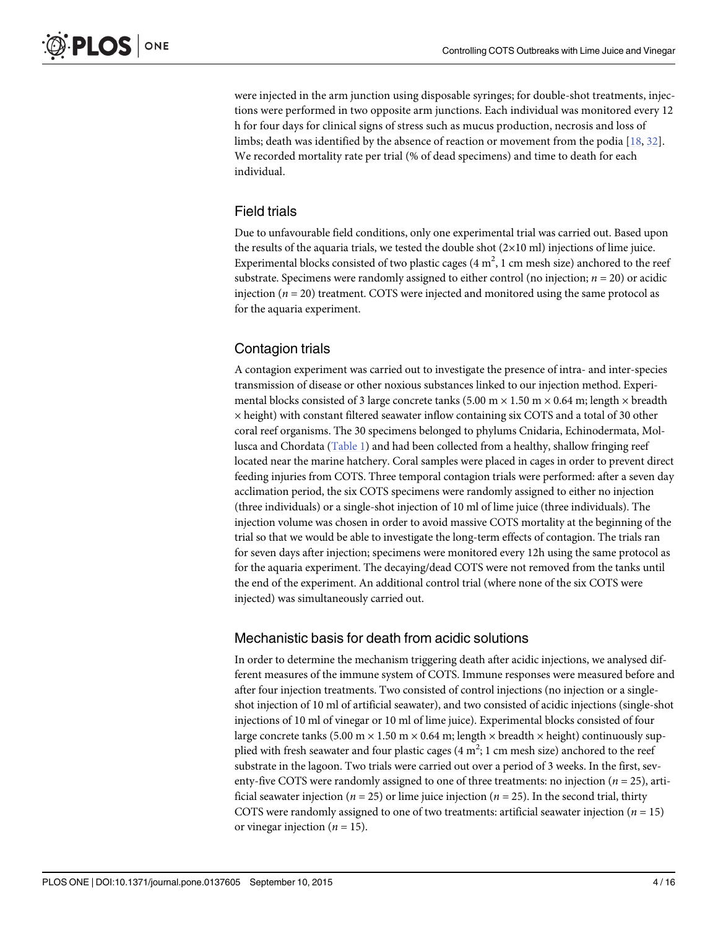<span id="page-3-0"></span>were injected in the arm junction using disposable syringes; for double-shot treatments, injections were performed in two opposite arm junctions. Each individual was monitored every 12 h for four days for clinical signs of stress such as mucus production, necrosis and loss of limbs; death was identified by the absence of reaction or movement from the podia [\[18](#page-13-0), [32](#page-13-0)]. We recorded mortality rate per trial (% of dead specimens) and time to death for each individual.

#### Field trials

Due to unfavourable field conditions, only one experimental trial was carried out. Based upon the results of the aquaria trials, we tested the double shot  $(2\times10 \text{ ml})$  injections of lime juice. Experimental blocks consisted of two plastic cages (4  $\mathrm{m}^2$ , 1 cm mesh size) anchored to the reef substrate. Specimens were randomly assigned to either control (no injection;  $n = 20$ ) or acidic injection ( $n = 20$ ) treatment. COTS were injected and monitored using the same protocol as for the aquaria experiment.

#### Contagion trials

A contagion experiment was carried out to investigate the presence of intra- and inter-species transmission of disease or other noxious substances linked to our injection method. Experimental blocks consisted of 3 large concrete tanks (5.00 m  $\times$  1.50 m  $\times$  0.64 m; length  $\times$  breadth × height) with constant filtered seawater inflow containing six COTS and a total of 30 other coral reef organisms. The 30 specimens belonged to phylums Cnidaria, Echinodermata, Mollusca and Chordata ([Table 1\)](#page-4-0) and had been collected from a healthy, shallow fringing reef located near the marine hatchery. Coral samples were placed in cages in order to prevent direct feeding injuries from COTS. Three temporal contagion trials were performed: after a seven day acclimation period, the six COTS specimens were randomly assigned to either no injection (three individuals) or a single-shot injection of 10 ml of lime juice (three individuals). The injection volume was chosen in order to avoid massive COTS mortality at the beginning of the trial so that we would be able to investigate the long-term effects of contagion. The trials ran for seven days after injection; specimens were monitored every 12h using the same protocol as for the aquaria experiment. The decaying/dead COTS were not removed from the tanks until the end of the experiment. An additional control trial (where none of the six COTS were injected) was simultaneously carried out.

#### Mechanistic basis for death from acidic solutions

In order to determine the mechanism triggering death after acidic injections, we analysed different measures of the immune system of COTS. Immune responses were measured before and after four injection treatments. Two consisted of control injections (no injection or a singleshot injection of 10 ml of artificial seawater), and two consisted of acidic injections (single-shot injections of 10 ml of vinegar or 10 ml of lime juice). Experimental blocks consisted of four large concrete tanks (5.00 m  $\times$  1.50 m  $\times$  0.64 m; length  $\times$  breadth  $\times$  height) continuously supplied with fresh seawater and four plastic cages (4  $\text{m}^2$ ; 1 cm mesh size) anchored to the reef substrate in the lagoon. Two trials were carried out over a period of 3 weeks. In the first, seventy-five COTS were randomly assigned to one of three treatments: no injection ( $n = 25$ ), artificial seawater injection ( $n = 25$ ) or lime juice injection ( $n = 25$ ). In the second trial, thirty COTS were randomly assigned to one of two treatments: artificial seawater injection ( $n = 15$ ) or vinegar injection ( $n = 15$ ).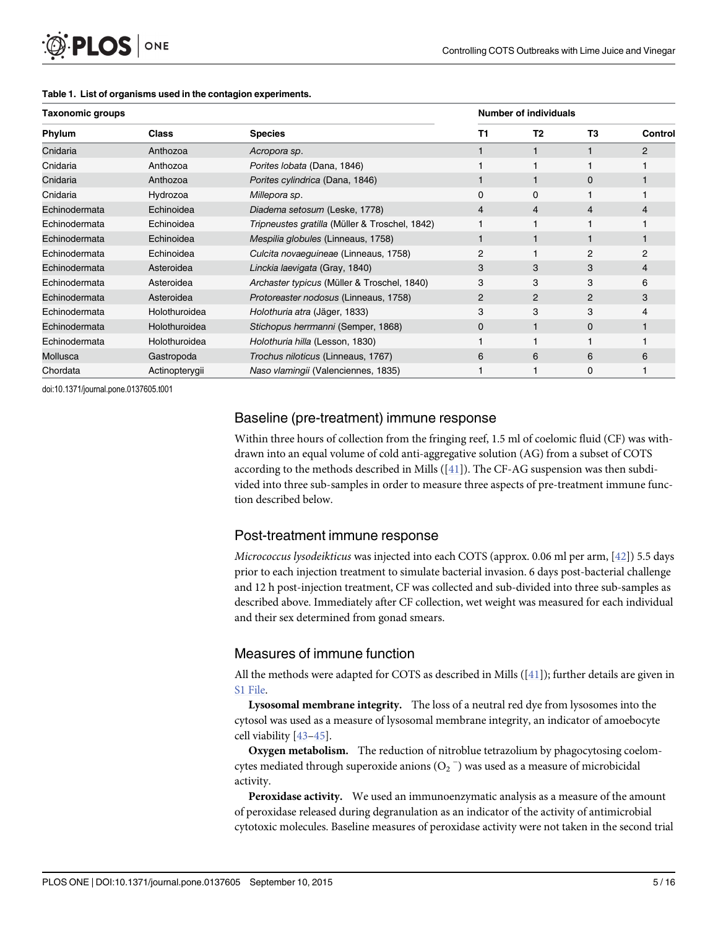<span id="page-4-0"></span>

| Taxonomic groups |                |                                                | <b>Number of individuals</b> |                |                |                |
|------------------|----------------|------------------------------------------------|------------------------------|----------------|----------------|----------------|
| Phylum           | <b>Class</b>   | <b>Species</b>                                 | Τ1                           | T <sub>2</sub> | T <sub>3</sub> | Control        |
| Cnidaria         | Anthozoa       | Acropora sp.                                   |                              |                |                | $\overline{2}$ |
| Cnidaria         | Anthozoa       | Porites lobata (Dana, 1846)                    |                              |                |                |                |
| Cnidaria         | Anthozoa       | Porites cylindrica (Dana, 1846)                |                              |                | 0              |                |
| Cnidaria         | Hydrozoa       | Millepora sp.                                  | $\Omega$                     | $\Omega$       |                |                |
| Echinodermata    | Echinoidea     | Diadema setosum (Leske, 1778)                  | 4                            | 4              | 4              | 4              |
| Echinodermata    | Echinoidea     | Tripneustes gratilla (Müller & Troschel, 1842) |                              |                |                |                |
| Echinodermata    | Echinoidea     | Mespilia globules (Linneaus, 1758)             |                              |                |                |                |
| Echinodermata    | Echinoidea     | Culcita novaeguineae (Linneaus, 1758)          | $\overline{2}$               |                | 2              | $\overline{2}$ |
| Echinodermata    | Asteroidea     | Linckia laevigata (Gray, 1840)                 | 3                            | 3              | 3              | 4              |
| Echinodermata    | Asteroidea     | Archaster typicus (Müller & Troschel, 1840)    | 3                            | 3              | 3              | 6              |
| Echinodermata    | Asteroidea     | Protoreaster nodosus (Linneaus, 1758)          | 2                            | 2              | 2              | 3              |
| Echinodermata    | Holothuroidea  | Holothuria atra (Jäger, 1833)                  | 3                            | 3              | 3              | 4              |
| Echinodermata    | Holothuroidea  | Stichopus herrmanni (Semper, 1868)             | 0                            |                | 0              |                |
| Echinodermata    | Holothuroidea  | Holothuria hilla (Lesson, 1830)                |                              |                |                |                |
| Mollusca         | Gastropoda     | Trochus niloticus (Linneaus, 1767)             | 6                            | 6              | 6              | 6              |
| Chordata         | Actinopterygii | Naso vlamingii (Valenciennes, 1835)            |                              |                | 0              |                |

#### [Table 1.](#page-3-0) List of organisms used in the contagion experiments.

doi:10.1371/journal.pone.0137605.t001

## Baseline (pre-treatment) immune response

Within three hours of collection from the fringing reef, 1.5 ml of coelomic fluid (CF) was withdrawn into an equal volume of cold anti-aggregative solution (AG) from a subset of COTS according to the methods described in Mills  $([41])$  $([41])$  $([41])$ . The CF-AG suspension was then subdivided into three sub-samples in order to measure three aspects of pre-treatment immune function described below.

## Post-treatment immune response

Micrococcus lysodeikticus was injected into each COTS (approx. 0.06 ml per arm, [[42](#page-14-0)]) 5.5 days prior to each injection treatment to simulate bacterial invasion. 6 days post-bacterial challenge and 12 h post-injection treatment, CF was collected and sub-divided into three sub-samples as described above. Immediately after CF collection, wet weight was measured for each individual and their sex determined from gonad smears.

## Measures of immune function

All the methods were adapted for COTS as described in Mills  $([41])$  $([41])$  $([41])$ ; further details are given in [S1 File](#page-12-0).

Lysosomal membrane integrity. The loss of a neutral red dye from lysosomes into the cytosol was used as a measure of lysosomal membrane integrity, an indicator of amoebocyte cell viability  $[43-45]$  $[43-45]$  $[43-45]$  $[43-45]$ .

Oxygen metabolism. The reduction of nitroblue tetrazolium by phagocytosing coelomcytes mediated through superoxide anions (O<sub>2</sub>  $\bar{\ }$ ) was used as a measure of microbicidal activity.

Peroxidase activity. We used an immunoenzymatic analysis as a measure of the amount of peroxidase released during degranulation as an indicator of the activity of antimicrobial cytotoxic molecules. Baseline measures of peroxidase activity were not taken in the second trial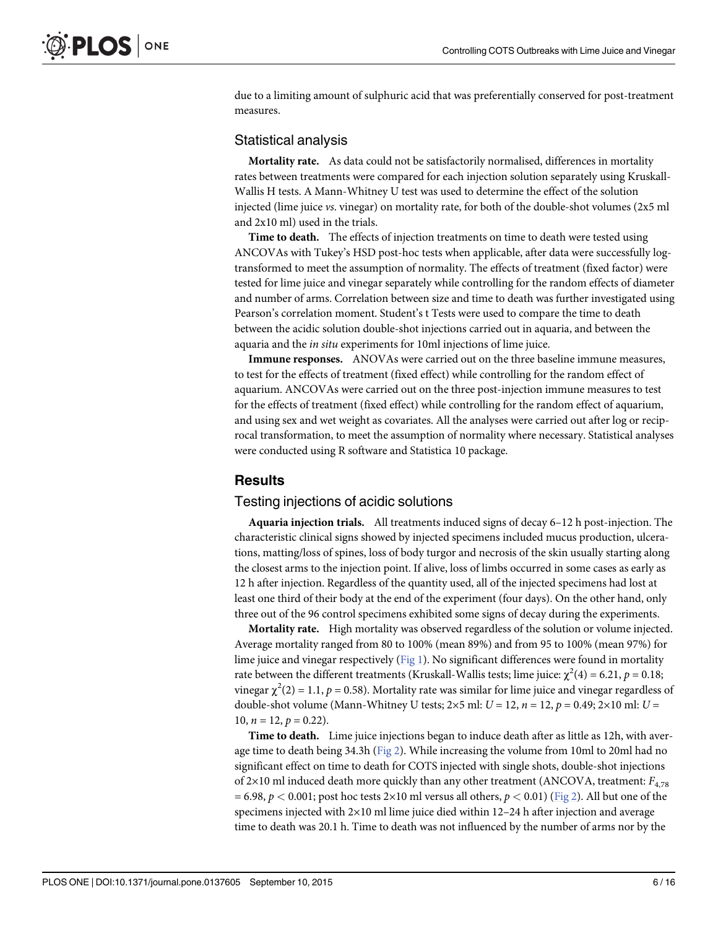<span id="page-5-0"></span>due to a limiting amount of sulphuric acid that was preferentially conserved for post-treatment measures.

#### Statistical analysis

Mortality rate. As data could not be satisfactorily normalised, differences in mortality rates between treatments were compared for each injection solution separately using Kruskall-Wallis H tests. A Mann-Whitney U test was used to determine the effect of the solution injected (lime juice vs. vinegar) on mortality rate, for both of the double-shot volumes (2x5 ml and 2x10 ml) used in the trials.

Time to death. The effects of injection treatments on time to death were tested using ANCOVAs with Tukey's HSD post-hoc tests when applicable, after data were successfully logtransformed to meet the assumption of normality. The effects of treatment (fixed factor) were tested for lime juice and vinegar separately while controlling for the random effects of diameter and number of arms. Correlation between size and time to death was further investigated using Pearson's correlation moment. Student's t Tests were used to compare the time to death between the acidic solution double-shot injections carried out in aquaria, and between the aquaria and the in situ experiments for 10ml injections of lime juice.

Immune responses. ANOVAs were carried out on the three baseline immune measures, to test for the effects of treatment (fixed effect) while controlling for the random effect of aquarium. ANCOVAs were carried out on the three post-injection immune measures to test for the effects of treatment (fixed effect) while controlling for the random effect of aquarium, and using sex and wet weight as covariates. All the analyses were carried out after log or reciprocal transformation, to meet the assumption of normality where necessary. Statistical analyses were conducted using R software and Statistica 10 package.

#### **Results**

#### Testing injections of acidic solutions

Aquaria injection trials. All treatments induced signs of decay 6–12 h post-injection. The characteristic clinical signs showed by injected specimens included mucus production, ulcerations, matting/loss of spines, loss of body turgor and necrosis of the skin usually starting along the closest arms to the injection point. If alive, loss of limbs occurred in some cases as early as 12 h after injection. Regardless of the quantity used, all of the injected specimens had lost at least one third of their body at the end of the experiment (four days). On the other hand, only three out of the 96 control specimens exhibited some signs of decay during the experiments.

Mortality rate. High mortality was observed regardless of the solution or volume injected. Average mortality ranged from 80 to 100% (mean 89%) and from 95 to 100% (mean 97%) for lime juice and vinegar respectively  $(Fig_1)$ . No significant differences were found in mortality rate between the different treatments (Kruskall-Wallis tests; lime juice:  $\chi^2(4)$  = 6.21, p = 0.18; vinegar  $\chi^2(2) = 1.1$ ,  $p = 0.58$ ). Mortality rate was similar for lime juice and vinegar regardless of double-shot volume (Mann-Whitney U tests;  $2\times5$  ml:  $U = 12$ ,  $n = 12$ ,  $p = 0.49$ ;  $2\times10$  ml:  $U =$ 10,  $n = 12$ ,  $p = 0.22$ ).

Time to death. Lime juice injections began to induce death after as little as 12h, with average time to death being 34.3h ([Fig 2\)](#page-6-0). While increasing the volume from 10ml to 20ml had no significant effect on time to death for COTS injected with single shots, double-shot injections of 2×10 ml induced death more quickly than any other treatment (ANCOVA, treatment:  $F_{4,78}$ = 6.98,  $p < 0.001$ ; post hoc tests 2×10 ml versus all others,  $p < 0.01$ ) ([Fig 2](#page-6-0)). All but one of the specimens injected with  $2\times10$  ml lime juice died within  $12-24$  h after injection and average time to death was 20.1 h. Time to death was not influenced by the number of arms nor by the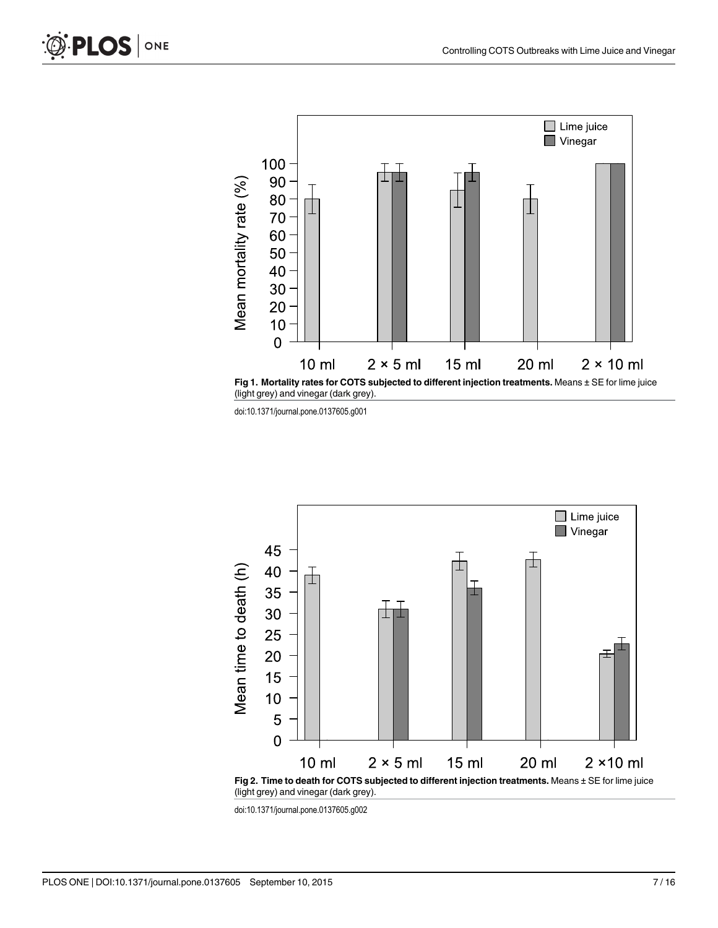<span id="page-6-0"></span>

doi:10.1371/journal.pone.0137605.g001



doi:10.1371/journal.pone.0137605.g002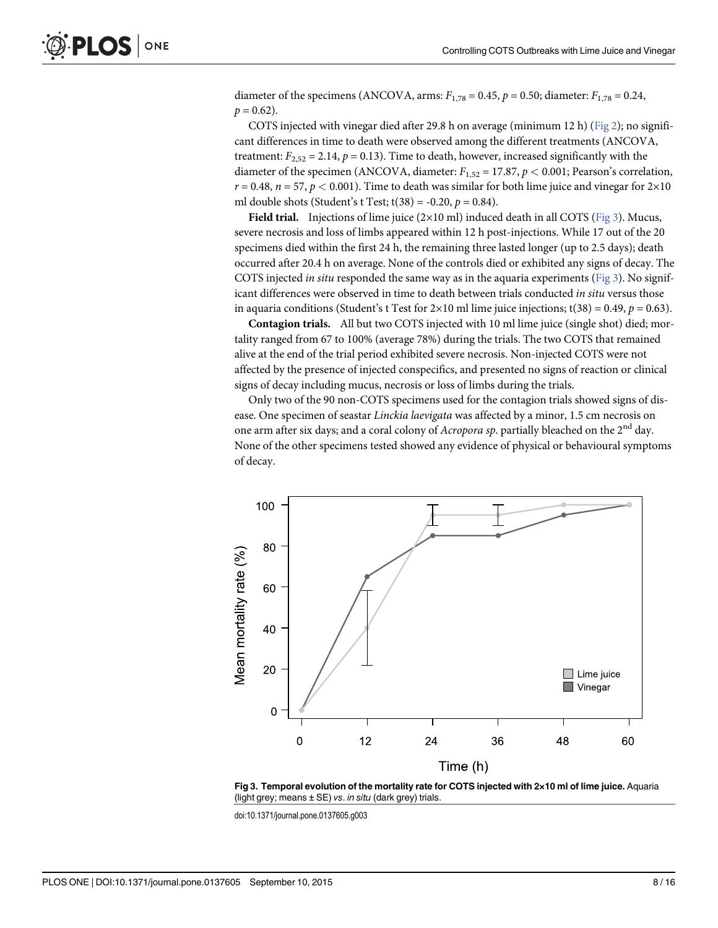diameter of the specimens (ANCOVA, arms:  $F_{1,78} = 0.45$ ,  $p = 0.50$ ; diameter:  $F_{1,78} = 0.24$ ,  $p = 0.62$ ).

COTS injected with vinegar died after 29.8 h on average (minimum 12 h) ( $Fig 2$ ); no significant differences in time to death were observed among the different treatments (ANCOVA, treatment:  $F_{2,52} = 2.14$ ,  $p = 0.13$ ). Time to death, however, increased significantly with the diameter of the specimen (ANCOVA, diameter:  $F_{1,52} = 17.87$ ,  $p < 0.001$ ; Pearson's correlation,  $r = 0.48$ ,  $n = 57$ ,  $p < 0.001$ ). Time to death was similar for both lime juice and vinegar for  $2 \times 10$ ml double shots (Student's t Test;  $t(38) = -0.20$ ,  $p = 0.84$ ).

Field trial. Injections of lime juice ( $2\times10$  ml) induced death in all COTS ( $Fig 3$ ). Mucus, severe necrosis and loss of limbs appeared within 12 h post-injections. While 17 out of the 20 specimens died within the first 24 h, the remaining three lasted longer (up to 2.5 days); death occurred after 20.4 h on average. None of the controls died or exhibited any signs of decay. The COTS injected *in situ* responded the same way as in the aquaria experiments (Fig 3). No significant differences were observed in time to death between trials conducted *in situ* versus those in aquaria conditions (Student's t Test for  $2\times10$  ml lime juice injections; t(38) = 0.49, p = 0.63).

Contagion trials. All but two COTS injected with 10 ml lime juice (single shot) died; mortality ranged from 67 to 100% (average 78%) during the trials. The two COTS that remained alive at the end of the trial period exhibited severe necrosis. Non-injected COTS were not affected by the presence of injected conspecifics, and presented no signs of reaction or clinical signs of decay including mucus, necrosis or loss of limbs during the trials.

Only two of the 90 non-COTS specimens used for the contagion trials showed signs of disease. One specimen of seastar Linckia laevigata was affected by a minor, 1.5 cm necrosis on one arm after six days; and a coral colony of *Acropora sp*. partially bleached on the  $2<sup>nd</sup>$  day. None of the other specimens tested showed any evidence of physical or behavioural symptoms of decay.



Fig 3. Temporal evolution of the mortality rate for COTS injected with 2×10 ml of lime juice. Aquaria (light grey; means  $\pm$  SE) vs. in situ (dark grey) trials.

doi:10.1371/journal.pone.0137605.g003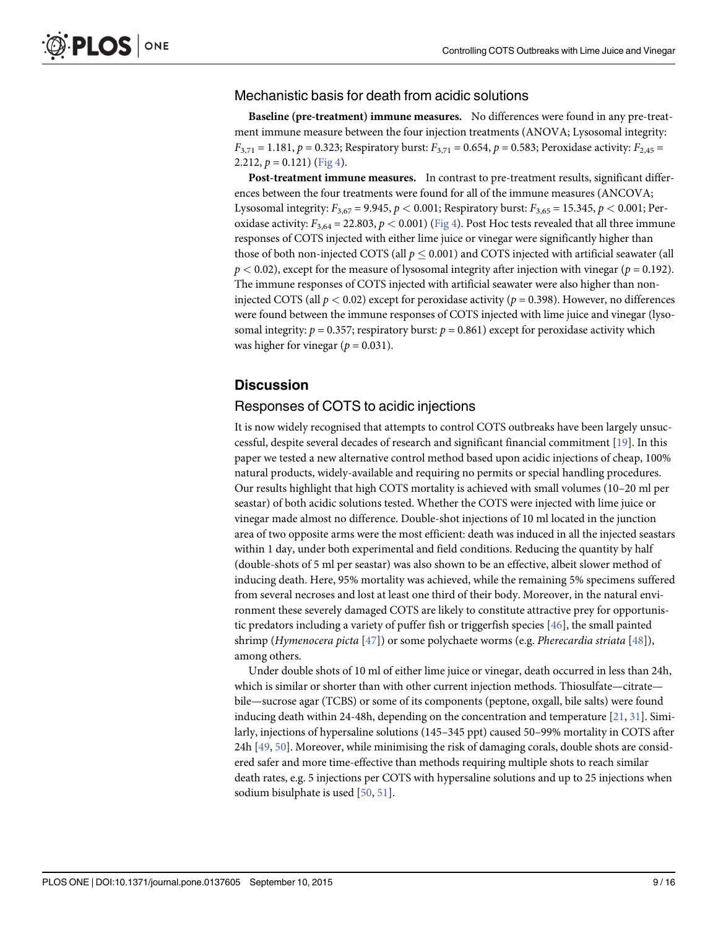#### <span id="page-8-0"></span>Mechanistic basis for death from acidic solutions

Baseline (pre-treatment) immune measures. No differences were found in any pre-treatment immune measure between the four injection treatments (ANOVA; Lysosomal integrity:  $F_{3,71} = 1.181, p = 0.323$ ; Respiratory burst:  $F_{3,71} = 0.654, p = 0.583$ ; Peroxidase activity:  $F_{2,45} =$ 2.212,  $p = 0.121$ ) [\(Fig 4\)](#page-9-0).

Post-treatment immune measures. In contrast to pre-treatment results, significant differences between the four treatments were found for all of the immune measures (ANCOVA; Lysosomal integrity:  $F_{3,67} = 9.945$ ,  $p < 0.001$ ; Respiratory burst:  $F_{3,65} = 15.345$ ,  $p < 0.001$ ; Peroxidase activity:  $F_{3,64} = 22.803$ ,  $p < 0.001$ ) [\(Fig 4\)](#page-9-0). Post Hoc tests revealed that all three immune responses of COTS injected with either lime juice or vinegar were significantly higher than those of both non-injected COTS (all  $p \leq 0.001$ ) and COTS injected with artificial seawater (all  $p < 0.02$ ), except for the measure of lysosomal integrity after injection with vinegar ( $p = 0.192$ ). The immune responses of COTS injected with artificial seawater were also higher than noninjected COTS (all  $p < 0.02$ ) except for peroxidase activity ( $p = 0.398$ ). However, no differences were found between the immune responses of COTS injected with lime juice and vinegar (lysosomal integrity:  $p = 0.357$ ; respiratory burst:  $p = 0.861$ ) except for peroxidase activity which was higher for vinegar ( $p = 0.031$ ).

#### **Discussion**

#### Responses of COTS to acidic injections

It is now widely recognised that attempts to control COTS outbreaks have been largely unsuccessful, despite several decades of research and significant financial commitment [[19\]](#page-13-0). In this paper we tested a new alternative control method based upon acidic injections of cheap, 100% natural products, widely-available and requiring no permits or special handling procedures. Our results highlight that high COTS mortality is achieved with small volumes (10–20 ml per seastar) of both acidic solutions tested. Whether the COTS were injected with lime juice or vinegar made almost no difference. Double-shot injections of 10 ml located in the junction area of two opposite arms were the most efficient: death was induced in all the injected seastars within 1 day, under both experimental and field conditions. Reducing the quantity by half (double-shots of 5 ml per seastar) was also shown to be an effective, albeit slower method of inducing death. Here, 95% mortality was achieved, while the remaining 5% specimens suffered from several necroses and lost at least one third of their body. Moreover, in the natural environment these severely damaged COTS are likely to constitute attractive prey for opportunistic predators including a variety of puffer fish or triggerfish species  $[46]$  $[46]$ , the small painted shrimp (Hymenocera picta  $[47]$  $[47]$  $[47]$ ) or some polychaete worms (e.g. Pherecardia striata  $[48]$  $[48]$ ), among others.

Under double shots of 10 ml of either lime juice or vinegar, death occurred in less than 24h, which is similar or shorter than with other current injection methods. Thiosulfate—citrate bile—sucrose agar (TCBS) or some of its components (peptone, oxgall, bile salts) were found inducing death within 24-48h, depending on the concentration and temperature [\[21,](#page-13-0) [31\]](#page-13-0). Similarly, injections of hypersaline solutions (145–345 ppt) caused 50–99% mortality in COTS after 24h [[49](#page-14-0), [50](#page-14-0)]. Moreover, while minimising the risk of damaging corals, double shots are considered safer and more time-effective than methods requiring multiple shots to reach similar death rates, e.g. 5 injections per COTS with hypersaline solutions and up to 25 injections when sodium bisulphate is used [[50](#page-14-0), [51](#page-14-0)].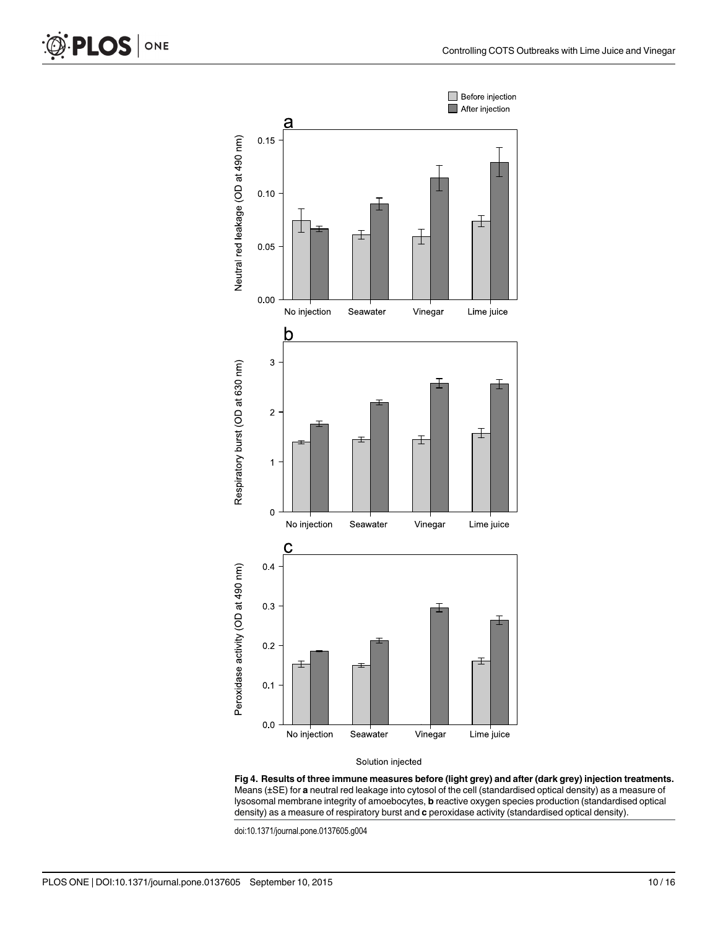

#### Solution injected

[Fig 4. R](#page-8-0)esults of three immune measures before (light grey) and after (dark grey) injection treatments. Means (±SE) for a neutral red leakage into cytosol of the cell (standardised optical density) as a measure of lysosomal membrane integrity of amoebocytes, b reactive oxygen species production (standardised optical density) as a measure of respiratory burst and c peroxidase activity (standardised optical density).

doi:10.1371/journal.pone.0137605.g004

<span id="page-9-0"></span>PLOS | ONE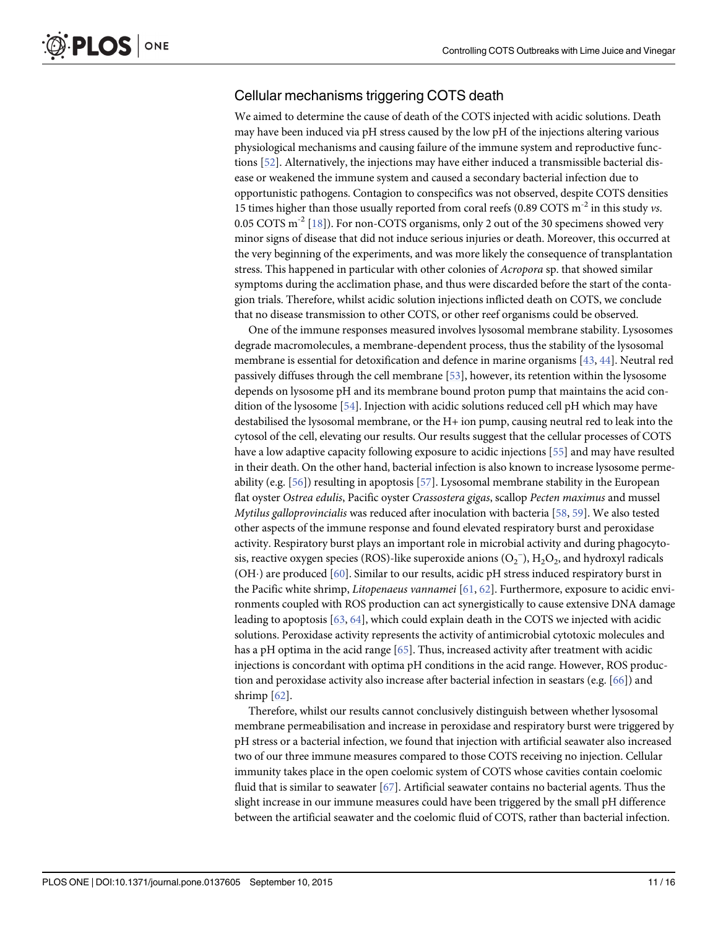#### <span id="page-10-0"></span>Cellular mechanisms triggering COTS death

We aimed to determine the cause of death of the COTS injected with acidic solutions. Death may have been induced via pH stress caused by the low pH of the injections altering various physiological mechanisms and causing failure of the immune system and reproductive functions [\[52\]](#page-14-0). Alternatively, the injections may have either induced a transmissible bacterial disease or weakened the immune system and caused a secondary bacterial infection due to opportunistic pathogens. Contagion to conspecifics was not observed, despite COTS densities 15 times higher than those usually reported from coral reefs (0.89 COTS  $m^{-2}$  in this study vs. 0.05 COTS  $m^{-2}$  [[18](#page-13-0)]). For non-COTS organisms, only 2 out of the 30 specimens showed very minor signs of disease that did not induce serious injuries or death. Moreover, this occurred at the very beginning of the experiments, and was more likely the consequence of transplantation stress. This happened in particular with other colonies of Acropora sp. that showed similar symptoms during the acclimation phase, and thus were discarded before the start of the contagion trials. Therefore, whilst acidic solution injections inflicted death on COTS, we conclude that no disease transmission to other COTS, or other reef organisms could be observed.

One of the immune responses measured involves lysosomal membrane stability. Lysosomes degrade macromolecules, a membrane-dependent process, thus the stability of the lysosomal membrane is essential for detoxification and defence in marine organisms [\[43](#page-14-0), [44](#page-14-0)]. Neutral red passively diffuses through the cell membrane [\[53\]](#page-14-0), however, its retention within the lysosome depends on lysosome pH and its membrane bound proton pump that maintains the acid condition of the lysosome [\[54\]](#page-14-0). Injection with acidic solutions reduced cell pH which may have destabilised the lysosomal membrane, or the H+ ion pump, causing neutral red to leak into the cytosol of the cell, elevating our results. Our results suggest that the cellular processes of COTS have a low adaptive capacity following exposure to acidic injections [[55](#page-14-0)] and may have resulted in their death. On the other hand, bacterial infection is also known to increase lysosome permeability (e.g.  $[56]$ ) resulting in apoptosis  $[57]$  $[57]$ . Lysosomal membrane stability in the European flat oyster Ostrea edulis, Pacific oyster Crassostera gigas, scallop Pecten maximus and mussel Mytilus galloprovincialis was reduced after inoculation with bacteria [\[58,](#page-14-0) [59\]](#page-14-0). We also tested other aspects of the immune response and found elevated respiratory burst and peroxidase activity. Respiratory burst plays an important role in microbial activity and during phagocytosis, reactive oxygen species (ROS)-like superoxide anions (O<sub>2</sub><sup>-</sup>), H<sub>2</sub>O<sub>2</sub>, and hydroxyl radicals (OH $\cdot$ ) are produced [[60](#page-14-0)]. Similar to our results, acidic pH stress induced respiratory burst in the Pacific white shrimp, Litopenaeus vannamei  $[61, 62]$  $[61, 62]$  $[61, 62]$  $[61, 62]$ . Furthermore, exposure to acidic environments coupled with ROS production can act synergistically to cause extensive DNA damage leading to apoptosis [[63](#page-15-0), [64](#page-15-0)], which could explain death in the COTS we injected with acidic solutions. Peroxidase activity represents the activity of antimicrobial cytotoxic molecules and has a pH optima in the acid range  $[65]$ . Thus, increased activity after treatment with acidic injections is concordant with optima pH conditions in the acid range. However, ROS production and peroxidase activity also increase after bacterial infection in seastars (e.g. [[66\]](#page-15-0)) and shrimp [\[62\]](#page-15-0).

Therefore, whilst our results cannot conclusively distinguish between whether lysosomal membrane permeabilisation and increase in peroxidase and respiratory burst were triggered by pH stress or a bacterial infection, we found that injection with artificial seawater also increased two of our three immune measures compared to those COTS receiving no injection. Cellular immunity takes place in the open coelomic system of COTS whose cavities contain coelomic fluid that is similar to seawater [[67](#page-15-0)]. Artificial seawater contains no bacterial agents. Thus the slight increase in our immune measures could have been triggered by the small pH difference between the artificial seawater and the coelomic fluid of COTS, rather than bacterial infection.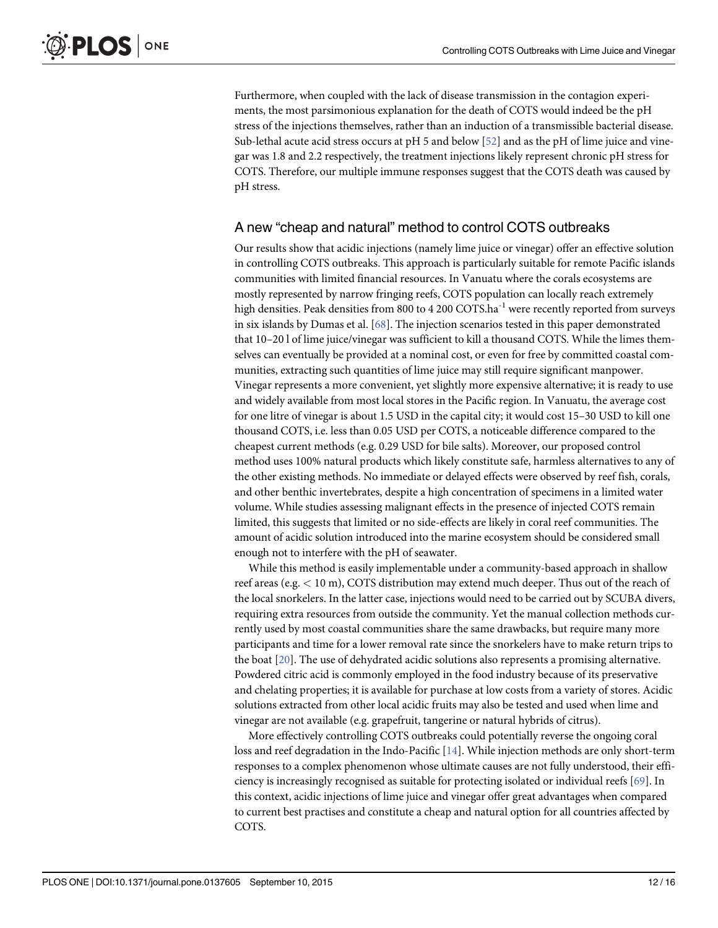<span id="page-11-0"></span>Furthermore, when coupled with the lack of disease transmission in the contagion experiments, the most parsimonious explanation for the death of COTS would indeed be the pH stress of the injections themselves, rather than an induction of a transmissible bacterial disease. Sub-lethal acute acid stress occurs at pH 5 and below [\[52\]](#page-14-0) and as the pH of lime juice and vinegar was 1.8 and 2.2 respectively, the treatment injections likely represent chronic pH stress for COTS. Therefore, our multiple immune responses suggest that the COTS death was caused by pH stress.

#### A new "cheap and natural" method to control COTS outbreaks

Our results show that acidic injections (namely lime juice or vinegar) offer an effective solution in controlling COTS outbreaks. This approach is particularly suitable for remote Pacific islands communities with limited financial resources. In Vanuatu where the corals ecosystems are mostly represented by narrow fringing reefs, COTS population can locally reach extremely high densities. Peak densities from 800 to 4 200 COTS.ha<sup>-1</sup> were recently reported from surveys in six islands by Dumas et al. [[68](#page-15-0)]. The injection scenarios tested in this paper demonstrated that 10–20 l of lime juice/vinegar was sufficient to kill a thousand COTS. While the limes themselves can eventually be provided at a nominal cost, or even for free by committed coastal communities, extracting such quantities of lime juice may still require significant manpower. Vinegar represents a more convenient, yet slightly more expensive alternative; it is ready to use and widely available from most local stores in the Pacific region. In Vanuatu, the average cost for one litre of vinegar is about 1.5 USD in the capital city; it would cost 15–30 USD to kill one thousand COTS, i.e. less than 0.05 USD per COTS, a noticeable difference compared to the cheapest current methods (e.g. 0.29 USD for bile salts). Moreover, our proposed control method uses 100% natural products which likely constitute safe, harmless alternatives to any of the other existing methods. No immediate or delayed effects were observed by reef fish, corals, and other benthic invertebrates, despite a high concentration of specimens in a limited water volume. While studies assessing malignant effects in the presence of injected COTS remain limited, this suggests that limited or no side-effects are likely in coral reef communities. The amount of acidic solution introduced into the marine ecosystem should be considered small enough not to interfere with the pH of seawater.

While this method is easily implementable under a community-based approach in shallow reef areas (e.g. < 10 m), COTS distribution may extend much deeper. Thus out of the reach of the local snorkelers. In the latter case, injections would need to be carried out by SCUBA divers, requiring extra resources from outside the community. Yet the manual collection methods currently used by most coastal communities share the same drawbacks, but require many more participants and time for a lower removal rate since the snorkelers have to make return trips to the boat [[20](#page-13-0)]. The use of dehydrated acidic solutions also represents a promising alternative. Powdered citric acid is commonly employed in the food industry because of its preservative and chelating properties; it is available for purchase at low costs from a variety of stores. Acidic solutions extracted from other local acidic fruits may also be tested and used when lime and vinegar are not available (e.g. grapefruit, tangerine or natural hybrids of citrus).

More effectively controlling COTS outbreaks could potentially reverse the ongoing coral loss and reef degradation in the Indo-Pacific [[14](#page-13-0)]. While injection methods are only short-term responses to a complex phenomenon whose ultimate causes are not fully understood, their efficiency is increasingly recognised as suitable for protecting isolated or individual reefs [[69](#page-15-0)]. In this context, acidic injections of lime juice and vinegar offer great advantages when compared to current best practises and constitute a cheap and natural option for all countries affected by COTS.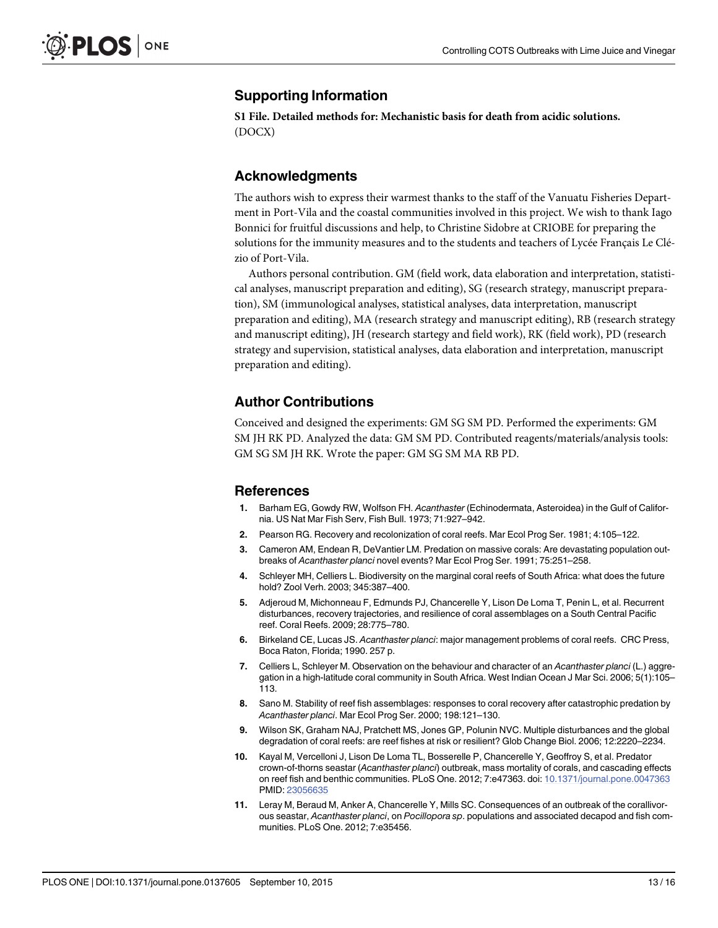#### <span id="page-12-0"></span>Supporting Information

[S1 File.](http://www.plosone.org/article/fetchSingleRepresentation.action?uri=info:doi/10.1371/journal.pone.0137605.s001) Detailed methods for: Mechanistic basis for death from acidic solutions. (DOCX)

#### Acknowledgments

The authors wish to express their warmest thanks to the staff of the Vanuatu Fisheries Department in Port-Vila and the coastal communities involved in this project. We wish to thank Iago Bonnici for fruitful discussions and help, to Christine Sidobre at CRIOBE for preparing the solutions for the immunity measures and to the students and teachers of Lycée Français Le Clézio of Port-Vila.

Authors personal contribution. GM (field work, data elaboration and interpretation, statistical analyses, manuscript preparation and editing), SG (research strategy, manuscript preparation), SM (immunological analyses, statistical analyses, data interpretation, manuscript preparation and editing), MA (research strategy and manuscript editing), RB (research strategy and manuscript editing), JH (research startegy and field work), RK (field work), PD (research strategy and supervision, statistical analyses, data elaboration and interpretation, manuscript preparation and editing).

#### Author Contributions

Conceived and designed the experiments: GM SG SM PD. Performed the experiments: GM SM JH RK PD. Analyzed the data: GM SM PD. Contributed reagents/materials/analysis tools: GM SG SM JH RK. Wrote the paper: GM SG SM MA RB PD.

#### References

- [1.](#page-1-0) Barham EG, Gowdy RW, Wolfson FH. Acanthaster (Echinodermata, Asteroidea) in the Gulf of California. US Nat Mar Fish Serv, Fish Bull. 1973; 71:927–942.
- 2. Pearson RG. Recovery and recolonization of coral reefs. Mar Ecol Prog Ser. 1981; 4:105–122.
- 3. Cameron AM, Endean R, DeVantier LM. Predation on massive corals: Are devastating population outbreaks of Acanthaster planci novel events? Mar Ecol Prog Ser. 1991; 75:251–258.
- 4. Schleyer MH, Celliers L. Biodiversity on the marginal coral reefs of South Africa: what does the future hold? Zool Verh. 2003; 345:387–400.
- [5.](#page-1-0) Adjeroud M, Michonneau F, Edmunds PJ, Chancerelle Y, Lison De Loma T, Penin L, et al. Recurrent disturbances, recovery trajectories, and resilience of coral assemblages on a South Central Pacific reef. Coral Reefs. 2009; 28:775–780.
- [6.](#page-1-0) Birkeland CE, Lucas JS. Acanthaster planci: major management problems of coral reefs. CRC Press, Boca Raton, Florida; 1990. 257 p.
- [7.](#page-1-0) Celliers L, Schleyer M. Observation on the behaviour and character of an Acanthaster planci (L.) aggregation in a high-latitude coral community in South Africa. West Indian Ocean J Mar Sci. 2006; 5(1):105– 113.
- [8.](#page-1-0) Sano M. Stability of reef fish assemblages: responses to coral recovery after catastrophic predation by Acanthaster planci. Mar Ecol Prog Ser. 2000; 198:121–130.
- 9. Wilson SK, Graham NAJ, Pratchett MS, Jones GP, Polunin NVC. Multiple disturbances and the global degradation of coral reefs: are reef fishes at risk or resilient? Glob Change Biol. 2006; 12:2220–2234.
- 10. Kayal M, Vercelloni J, Lison De Loma TL, Bosserelle P, Chancerelle Y, Geoffroy S, et al. Predator crown-of-thorns seastar (Acanthaster planci) outbreak, mass mortality of corals, and cascading effects on reef fish and benthic communities. PLoS One. 2012; 7:e47363. doi: [10.1371/journal.pone.0047363](http://dx.doi.org/10.1371/journal.pone.0047363) PMID: [23056635](http://www.ncbi.nlm.nih.gov/pubmed/23056635)
- [11.](#page-1-0) Leray M, Beraud M, Anker A, Chancerelle Y, Mills SC. Consequences of an outbreak of the corallivorous seastar, Acanthaster planci, on Pocillopora sp. populations and associated decapod and fish communities. PLoS One. 2012; 7:e35456.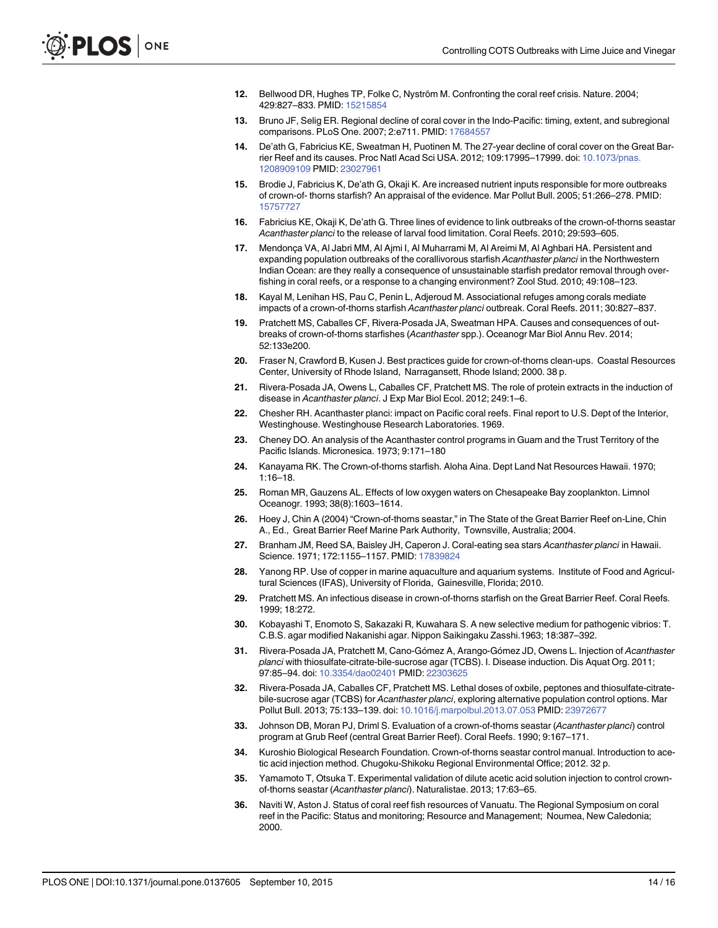- <span id="page-13-0"></span>[12.](#page-1-0) Bellwood DR, Hughes TP, Folke C, Nyström M. Confronting the coral reef crisis. Nature. 2004; 429:827–833. PMID: [15215854](http://www.ncbi.nlm.nih.gov/pubmed/15215854)
- [13.](#page-1-0) Bruno JF, Selig ER. Regional decline of coral cover in the Indo-Pacific: timing, extent, and subregional comparisons. PLoS One. 2007; 2:e711. PMID: [17684557](http://www.ncbi.nlm.nih.gov/pubmed/17684557)
- [14.](#page-1-0) De'ath G, Fabricius KE, Sweatman H, Puotinen M. The 27-year decline of coral cover on the Great Barrier Reef and its causes. Proc Natl Acad Sci USA. 2012; 109:17995–17999. doi: [10.1073/pnas.](http://dx.doi.org/10.1073/pnas.1208909109) [1208909109](http://dx.doi.org/10.1073/pnas.1208909109) PMID: [23027961](http://www.ncbi.nlm.nih.gov/pubmed/23027961)
- [15.](#page-1-0) Brodie J, Fabricius K, De'ath G, Okaji K. Are increased nutrient inputs responsible for more outbreaks of crown-of- thorns starfish? An appraisal of the evidence. Mar Pollut Bull. 2005; 51:266–278. PMID: [15757727](http://www.ncbi.nlm.nih.gov/pubmed/15757727)
- 16. Fabricius KE, Okaji K, De'ath G. Three lines of evidence to link outbreaks of the crown-of-thorns seastar Acanthaster planci to the release of larval food limitation. Coral Reefs. 2010; 29:593–605.
- [17.](#page-1-0) Mendonça VA, Al Jabri MM, Al Ajmi I, Al Muharrami M, Al Areimi M, Al Aghbari HA. Persistent and expanding population outbreaks of the corallivorous starfish Acanthaster planci in the Northwestern Indian Ocean: are they really a consequence of unsustainable starfish predator removal through overfishing in coral reefs, or a response to a changing environment? Zool Stud. 2010; 49:108–123.
- [18.](#page-1-0) Kayal M, Lenihan HS, Pau C, Penin L, Adjeroud M. Associational refuges among corals mediate impacts of a crown-of-thorns starfish Acanthaster planci outbreak. Coral Reefs. 2011; 30:827–837.
- [19.](#page-1-0) Pratchett MS, Caballes CF, Rivera-Posada JA, Sweatman HPA. Causes and consequences of outbreaks of crown-of-thorns starfishes (Acanthaster spp.). Oceanogr Mar Biol Annu Rev. 2014; 52:133e200.
- [20.](#page-1-0) Fraser N, Crawford B, Kusen J. Best practices guide for crown-of-thorns clean-ups. Coastal Resources Center, University of Rhode Island, Narragansett, Rhode Island; 2000. 38 p.
- [21.](#page-1-0) Rivera-Posada JA, Owens L, Caballes CF, Pratchett MS. The role of protein extracts in the induction of disease in Acanthaster planci. J Exp Mar Biol Ecol. 2012; 249:1–6.
- [22.](#page-1-0) Chesher RH. Acanthaster planci: impact on Pacific coral reefs. Final report to U.S. Dept of the Interior, Westinghouse. Westinghouse Research Laboratories. 1969.
- [23.](#page-1-0) Cheney DO. An analysis of the Acanthaster control programs in Guam and the Trust Territory of the Pacific Islands. Micronesica. 1973; 9:171–180
- [24.](#page-1-0) Kanayama RK. The Crown-of-thorns starfish. Aloha Aina. Dept Land Nat Resources Hawaii. 1970; 1:16–18.
- [25.](#page-1-0) Roman MR, Gauzens AL. Effects of low oxygen waters on Chesapeake Bay zooplankton. Limnol Oceanogr. 1993; 38(8):1603–1614.
- [26.](#page-1-0) Hoey J, Chin A (2004) "Crown-of-thorns seastar," in The State of the Great Barrier Reef on-Line, Chin A., Ed., Great Barrier Reef Marine Park Authority, Townsville, Australia; 2004.
- [27.](#page-1-0) Branham JM, Reed SA, Baisley JH, Caperon J. Coral-eating sea stars Acanthaster planci in Hawaii. Science. 1971; 172:1155–1157. PMID: [17839824](http://www.ncbi.nlm.nih.gov/pubmed/17839824)
- [28.](#page-1-0) Yanong RP. Use of copper in marine aquaculture and aquarium systems. Institute of Food and Agricultural Sciences (IFAS), University of Florida, Gainesville, Florida; 2010.
- [29.](#page-1-0) Pratchett MS. An infectious disease in crown-of-thorns starfish on the Great Barrier Reef. Coral Reefs. 1999; 18:272.
- [30.](#page-1-0) Kobayashi T, Enomoto S, Sakazaki R, Kuwahara S. A new selective medium for pathogenic vibrios: T. C.B.S. agar modified Nakanishi agar. Nippon Saikingaku Zasshi.1963; 18:387–392.
- [31.](#page-1-0) Rivera-Posada JA, Pratchett M, Cano-Gómez A, Arango-Gómez JD, Owens L. Injection of Acanthaster planci with thiosulfate-citrate-bile-sucrose agar (TCBS). I. Disease induction. Dis Aquat Org. 2011; 97:85–94. doi: [10.3354/dao02401](http://dx.doi.org/10.3354/dao02401) PMID: [22303625](http://www.ncbi.nlm.nih.gov/pubmed/22303625)
- [32.](#page-1-0) Rivera-Posada JA, Caballes CF, Pratchett MS. Lethal doses of oxbile, peptones and thiosulfate-citratebile-sucrose agar (TCBS) for Acanthaster planci, exploring alternative population control options. Mar Pollut Bull. 2013; 75:133–139. doi: [10.1016/j.marpolbul.2013.07.053](http://dx.doi.org/10.1016/j.marpolbul.2013.07.053) PMID: [23972677](http://www.ncbi.nlm.nih.gov/pubmed/23972677)
- [33.](#page-1-0) Johnson DB, Moran PJ, Driml S. Evaluation of a crown-of-thorns seastar (Acanthaster planci) control program at Grub Reef (central Great Barrier Reef). Coral Reefs. 1990; 9:167–171.
- [34.](#page-1-0) Kuroshio Biological Research Foundation. Crown-of-thorns seastar control manual. Introduction to acetic acid injection method. Chugoku-Shikoku Regional Environmental Office; 2012. 32 p.
- [35.](#page-1-0) Yamamoto T, Otsuka T. Experimental validation of dilute acetic acid solution injection to control crownof-thorns seastar (Acanthaster planci). Naturalistae. 2013; 17:63–65.
- [36.](#page-2-0) Naviti W, Aston J. Status of coral reef fish resources of Vanuatu. The Regional Symposium on coral reef in the Pacific: Status and monitoring; Resource and Management; Noumea, New Caledonia; 2000.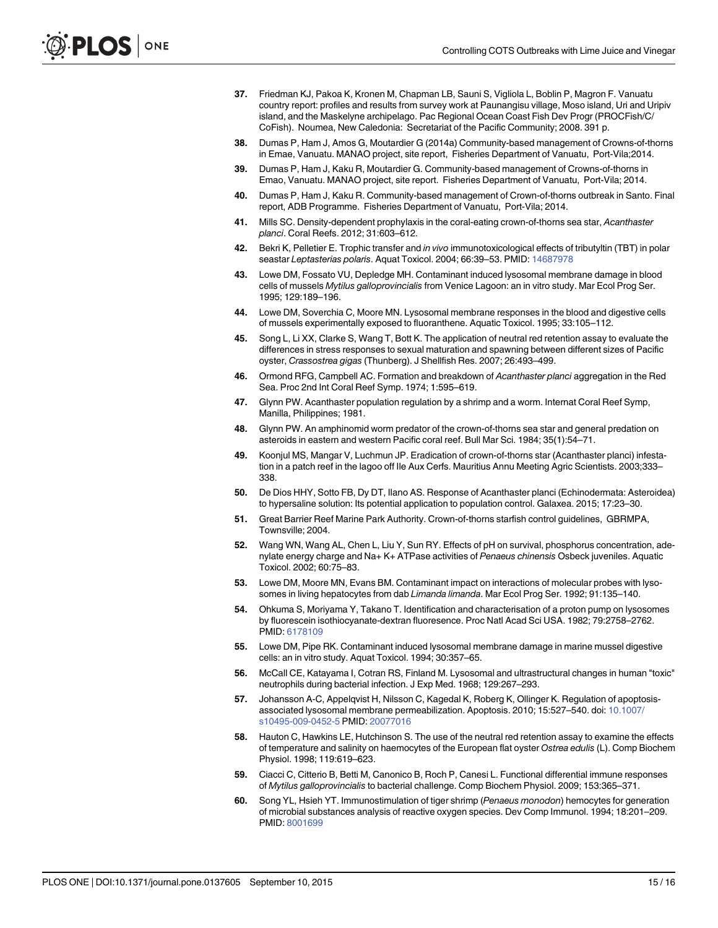- <span id="page-14-0"></span>37. Friedman KJ, Pakoa K, Kronen M, Chapman LB, Sauni S, Vigliola L, Boblin P, Magron F. Vanuatu country report: profiles and results from survey work at Paunangisu village, Moso island, Uri and Uripiv island, and the Maskelyne archipelago. Pac Regional Ocean Coast Fish Dev Progr (PROCFish/C/ CoFish). Noumea, New Caledonia: Secretariat of the Pacific Community; 2008. 391 p.
- 38. Dumas P, Ham J, Amos G, Moutardier G (2014a) Community-based management of Crowns-of-thorns in Emae, Vanuatu. MANAO project, site report, Fisheries Department of Vanuatu, Port-Vila;2014.
- 39. Dumas P, Ham J, Kaku R, Moutardier G. Community-based management of Crowns-of-thorns in Emao, Vanuatu. MANAO project, site report. Fisheries Department of Vanuatu, Port-Vila; 2014.
- [40.](#page-2-0) Dumas P, Ham J, Kaku R. Community-based management of Crown-of-thorns outbreak in Santo. Final report, ADB Programme. Fisheries Department of Vanuatu, Port-Vila; 2014.
- [41.](#page-4-0) Mills SC. Density-dependent prophylaxis in the coral-eating crown-of-thorns sea star, Acanthaster planci. Coral Reefs. 2012; 31:603–612.
- [42.](#page-4-0) Bekri K, Pelletier E. Trophic transfer and in vivo immunotoxicological effects of tributyltin (TBT) in polar seastar Leptasterias polaris. Aquat Toxicol. 2004; 66:39–53. PMID: [14687978](http://www.ncbi.nlm.nih.gov/pubmed/14687978)
- [43.](#page-4-0) Lowe DM, Fossato VU, Depledge MH. Contaminant induced lysosomal membrane damage in blood cells of mussels Mytilus galloprovincialis from Venice Lagoon: an in vitro study. Mar Ecol Prog Ser. 1995; 129:189–196.
- [44.](#page-10-0) Lowe DM, Soverchia C, Moore MN. Lysosomal membrane responses in the blood and digestive cells of mussels experimentally exposed to fluoranthene. Aquatic Toxicol. 1995; 33:105–112.
- [45.](#page-4-0) Song L, Li XX, Clarke S, Wang T, Bott K. The application of neutral red retention assay to evaluate the differences in stress responses to sexual maturation and spawning between different sizes of Pacific oyster, Crassostrea gigas (Thunberg). J Shellfish Res. 2007; 26:493–499.
- [46.](#page-8-0) Ormond RFG, Campbell AC. Formation and breakdown of Acanthaster planci aggregation in the Red Sea. Proc 2nd Int Coral Reef Symp. 1974; 1:595–619.
- [47.](#page-8-0) Glynn PW. Acanthaster population regulation by a shrimp and a worm. Internat Coral Reef Symp, Manilla, Philippines; 1981.
- [48.](#page-8-0) Glynn PW. An amphinomid worm predator of the crown-of-thorns sea star and general predation on asteroids in eastern and western Pacific coral reef. Bull Mar Sci. 1984; 35(1):54–71.
- [49.](#page-8-0) Koonjul MS, Mangar V, Luchmun JP. Eradication of crown-of-thorns star (Acanthaster planci) infestation in a patch reef in the lagoo off Ile Aux Cerfs. Mauritius Annu Meeting Agric Scientists. 2003;333– 338.
- [50.](#page-8-0) De Dios HHY, Sotto FB, Dy DT, Ilano AS. Response of Acanthaster planci (Echinodermata: Asteroidea) to hypersaline solution: Its potential application to population control. Galaxea. 2015; 17:23–30.
- [51.](#page-8-0) Great Barrier Reef Marine Park Authority. Crown-of-thorns starfish control guidelines, GBRMPA, Townsville; 2004.
- [52.](#page-10-0) Wang WN, Wang AL, Chen L, Liu Y, Sun RY. Effects of pH on survival, phosphorus concentration. adenylate energy charge and Na+ K+ ATPase activities of Penaeus chinensis Osbeck juveniles. Aquatic Toxicol. 2002; 60:75–83.
- [53.](#page-10-0) Lowe DM, Moore MN, Evans BM. Contaminant impact on interactions of molecular probes with lysosomes in living hepatocytes from dab Limanda limanda. Mar Ecol Prog Ser. 1992; 91:135–140.
- [54.](#page-10-0) Ohkuma S, Moriyama Y, Takano T. Identification and characterisation of a proton pump on lysosomes by fluorescein isothiocyanate-dextran fluoresence. Proc Natl Acad Sci USA. 1982; 79:2758–2762. PMID: [6178109](http://www.ncbi.nlm.nih.gov/pubmed/6178109)
- [55.](#page-10-0) Lowe DM, Pipe RK. Contaminant induced lysosomal membrane damage in marine mussel digestive cells: an in vitro study. Aquat Toxicol. 1994; 30:357–65.
- [56.](#page-10-0) McCall CE, Katayama I, Cotran RS, Finland M. Lysosomal and ultrastructural changes in human "toxic" neutrophils during bacterial infection. J Exp Med. 1968; 129:267–293.
- [57.](#page-10-0) Johansson A-C, Appelqvist H, Nilsson C, Kagedal K, Roberg K, Ollinger K. Regulation of apoptosisassociated lysosomal membrane permeabilization. Apoptosis. 2010; 15:527–540. doi: [10.1007/](http://dx.doi.org/10.1007/s10495-009-0452-5) [s10495-009-0452-5](http://dx.doi.org/10.1007/s10495-009-0452-5) PMID: [20077016](http://www.ncbi.nlm.nih.gov/pubmed/20077016)
- [58.](#page-10-0) Hauton C, Hawkins LE, Hutchinson S. The use of the neutral red retention assay to examine the effects of temperature and salinity on haemocytes of the European flat oyster Ostrea edulis (L). Comp Biochem Physiol. 1998; 119:619–623.
- [59.](#page-10-0) Ciacci C, Citterio B, Betti M, Canonico B, Roch P, Canesi L. Functional differential immune responses of Mytilus galloprovincialis to bacterial challenge. Comp Biochem Physiol. 2009; 153:365–371.
- [60.](#page-10-0) Song YL, Hsieh YT. Immunostimulation of tiger shrimp (Penaeus monodon) hemocytes for generation of microbial substances analysis of reactive oxygen species. Dev Comp Immunol. 1994; 18:201–209. PMID: [8001699](http://www.ncbi.nlm.nih.gov/pubmed/8001699)